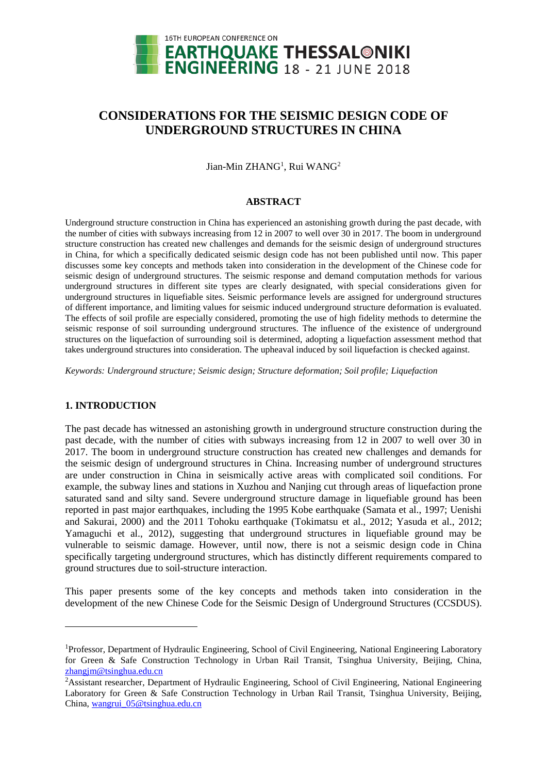

# **CONSIDERATIONS FOR THE SEISMIC DESIGN CODE OF UNDERGROUND STRUCTURES IN CHINA**

Jian-Min ZHANG<sup>1</sup>, Rui WANG<sup>2</sup>

### **ABSTRACT**

Underground structure construction in China has experienced an astonishing growth during the past decade, with the number of cities with subways increasing from 12 in 2007 to well over 30 in 2017. The boom in underground structure construction has created new challenges and demands for the seismic design of underground structures in China, for which a specifically dedicated seismic design code has not been published until now. This paper discusses some key concepts and methods taken into consideration in the development of the Chinese code for seismic design of underground structures. The seismic response and demand computation methods for various underground structures in different site types are clearly designated, with special considerations given for underground structures in liquefiable sites. Seismic performance levels are assigned for underground structures of different importance, and limiting values for seismic induced underground structure deformation is evaluated. The effects of soil profile are especially considered, promoting the use of high fidelity methods to determine the seismic response of soil surrounding underground structures. The influence of the existence of underground structures on the liquefaction of surrounding soil is determined, adopting a liquefaction assessment method that takes underground structures into consideration. The upheaval induced by soil liquefaction is checked against.

*Keywords: Underground structure; Seismic design; Structure deformation; Soil profile; Liquefaction*

## **1. INTRODUCTION**

l

The past decade has witnessed an astonishing growth in underground structure construction during the past decade, with the number of cities with subways increasing from 12 in 2007 to well over 30 in 2017. The boom in underground structure construction has created new challenges and demands for the seismic design of underground structures in China. Increasing number of underground structures are under construction in China in seismically active areas with complicated soil conditions. For example, the subway lines and stations in Xuzhou and Nanjing cut through areas of liquefaction prone saturated sand and silty sand. Severe underground structure damage in liquefiable ground has been reported in past major earthquakes, including the 1995 Kobe earthquake (Samata et al., 1997; Uenishi and Sakurai, 2000) and the 2011 Tohoku earthquake (Tokimatsu et al., 2012; Yasuda et al., 2012; Yamaguchi et al., 2012), suggesting that underground structures in liquefiable ground may be vulnerable to seismic damage. However, until now, there is not a seismic design code in China specifically targeting underground structures, which has distinctly different requirements compared to ground structures due to soil-structure interaction.

This paper presents some of the key concepts and methods taken into consideration in the development of the new Chinese Code for the Seismic Design of Underground Structures (CCSDUS).

<sup>&</sup>lt;sup>1</sup>Professor, Department of Hydraulic Engineering, School of Civil Engineering, National Engineering Laboratory for Green & Safe Construction Technology in Urban Rail Transit, Tsinghua University, Beijing, China, [zhangjm@tsinghua.edu.cn](mailto:zhangjm@tsinghua.edu.cn)

<sup>&</sup>lt;sup>2</sup>Assistant researcher, Department of Hydraulic Engineering, School of Civil Engineering, National Engineering Laboratory for Green & Safe Construction Technology in Urban Rail Transit, Tsinghua University, Beijing, China, wangrui 05@tsinghua.edu.cn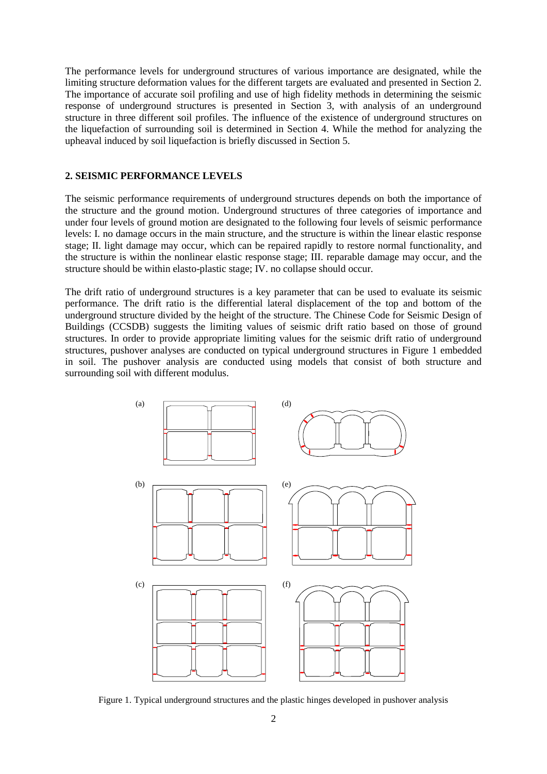The performance levels for underground structures of various importance are designated, while the limiting structure deformation values for the different targets are evaluated and presented in Section 2. The importance of accurate soil profiling and use of high fidelity methods in determining the seismic response of underground structures is presented in Section 3, with analysis of an underground structure in three different soil profiles. The influence of the existence of underground structures on the liquefaction of surrounding soil is determined in Section 4. While the method for analyzing the upheaval induced by soil liquefaction is briefly discussed in Section 5.

## **2. SEISMIC PERFORMANCE LEVELS**

The seismic performance requirements of underground structures depends on both the importance of the structure and the ground motion. Underground structures of three categories of importance and under four levels of ground motion are designated to the following four levels of seismic performance levels: I. no damage occurs in the main structure, and the structure is within the linear elastic response stage; II. light damage may occur, which can be repaired rapidly to restore normal functionality, and the structure is within the nonlinear elastic response stage; III. reparable damage may occur, and the structure should be within elasto-plastic stage; IV. no collapse should occur.

The drift ratio of underground structures is a key parameter that can be used to evaluate its seismic performance. The drift ratio is the differential lateral displacement of the top and bottom of the underground structure divided by the height of the structure. The Chinese Code for Seismic Design of Buildings (CCSDB) suggests the limiting values of seismic drift ratio based on those of ground structures. In order to provide appropriate limiting values for the seismic drift ratio of underground structures, pushover analyses are conducted on typical underground structures in Figure 1 embedded in soil. The pushover analysis are conducted using models that consist of both structure and surrounding soil with different modulus.



Figure 1. Typical underground structures and the plastic hinges developed in pushover analysis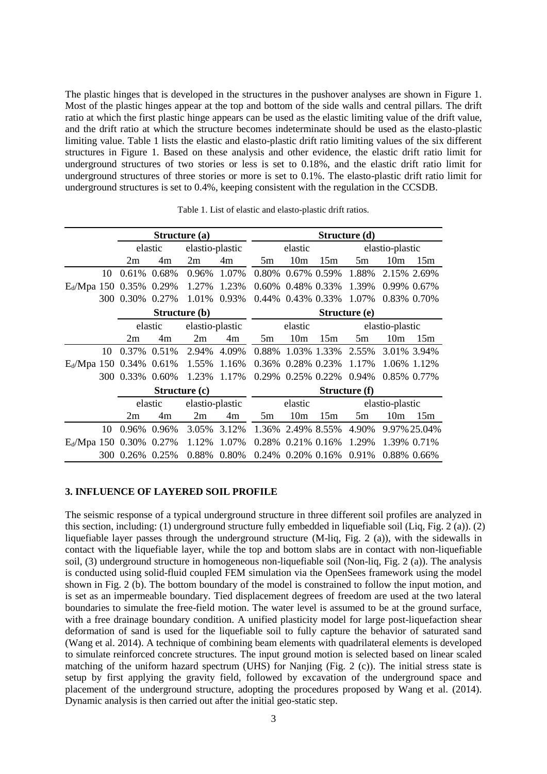The plastic hinges that is developed in the structures in the pushover analyses are shown in Figure 1. Most of the plastic hinges appear at the top and bottom of the side walls and central pillars. The drift ratio at which the first plastic hinge appears can be used as the elastic limiting value of the drift value, and the drift ratio at which the structure becomes indeterminate should be used as the elasto-plastic limiting value. Table 1 lists the elastic and elasto-plastic drift ratio limiting values of the six different structures in Figure 1. Based on these analysis and other evidence, the elastic drift ratio limit for underground structures of two stories or less is set to 0.18%, and the elastic drift ratio limit for underground structures of three stories or more is set to 0.1%. The elasto-plastic drift ratio limit for underground structures is set to 0.4%, keeping consistent with the regulation in the CCSDB.

|                           |     | Structure (a)   |       |                 |       | Structure (d) |                   |                 |                 |                 |                |
|---------------------------|-----|-----------------|-------|-----------------|-------|---------------|-------------------|-----------------|-----------------|-----------------|----------------|
|                           |     | elastic         |       | elastio-plastic |       | elastic       |                   |                 | elastio-plastic |                 |                |
|                           |     | 2m              | 4m    | 2m              | 4m    | 5m            | 10 <sub>m</sub>   | 15m             | 5m              | 10 <sub>m</sub> | 15m            |
|                           | 10  | 0.61%           | 0.68% | 0.96%           | 1.07% | 0.80%         |                   | $0.67\%$ 0.59%  | 1.88%           |                 | 2.15% 2.69%    |
| $E_d/Mpa$ 150 0.35% 0.29% |     |                 |       | 1.27%           | 1.23% | 0.60%         |                   | 0.48% 0.33%     | 1.39%           |                 | 0.99% 0.67%    |
|                           | 300 | 0.30% 0.27%     |       | 1.01%           | 0.93% | 0.44%         |                   | 0.43% 0.33%     | 1.07%           |                 | 0.83% 0.70%    |
|                           |     | Structure (b)   |       |                 |       | Structure (e) |                   |                 |                 |                 |                |
|                           |     | elastic         |       | elastio-plastic |       | elastic       |                   |                 | elastio-plastic |                 |                |
|                           |     | 2m              | 4m    | 2m              | 4m    | 5m            | 10 <sub>m</sub>   | 15m             | 5m              | 10 <sub>m</sub> | 15m            |
|                           | 10  | 0.37% 0.51%     |       | 2.94%           | 4.09% | 0.88%         |                   | 1.03% 1.33%     | 2.55%           |                 | 3.01% 3.94%    |
| $E_d/Mpa$ 150 0.34% 0.61% |     |                 |       | 1.55%           | 1.16% | 0.36%         |                   | 0.28% 0.23%     | 1.17%           |                 | 1.06% 1.12%    |
|                           |     | 300 0.33% 0.60% |       | 1.23%           | 1.17% | 0.29%         |                   | $0.25\%$ 0.22\% | 0.94%           |                 | 0.85% 0.77%    |
|                           |     | Structure (c)   |       |                 |       | Structure (f) |                   |                 |                 |                 |                |
|                           |     | elastic         |       | elastio-plastic |       | elastic       |                   | elastio-plastic |                 |                 |                |
|                           |     | 2m              | 4m    | 2m              | 4m    | 5m            | 10 <sub>m</sub>   | 15m             | 5m              | 10 <sub>m</sub> | 15m            |
|                           | 10  | 0.96%           | 0.96% | 3.05%           | 3.12% | 1.36%         |                   | 2.49% 8.55%     | 4.90%           |                 | 9.97% 25.04%   |
| $E_d/Mpa$ 150 0.30% 0.27% |     |                 |       | 1.12%           | 1.07% | 0.28%         |                   | $0.21\%$ 0.16%  | 1.29%           | 1.39% 0.71%     |                |
|                           |     | 300 0.26%       | 0.25% | 0.88%           | 0.80% |               | 0.24% 0.20% 0.16% |                 | 0.91%           |                 | $0.88\%$ 0.66% |

Table 1. List of elastic and elasto-plastic drift ratios.

## **3. INFLUENCE OF LAYERED SOIL PROFILE**

The seismic response of a typical underground structure in three different soil profiles are analyzed in this section, including: (1) underground structure fully embedded in liquefiable soil (Liq, Fig. 2 (a)). (2) liquefiable layer passes through the underground structure (M-liq, Fig. 2 (a)), with the sidewalls in contact with the liquefiable layer, while the top and bottom slabs are in contact with non-liquefiable soil, (3) underground structure in homogeneous non-liquefiable soil (Non-liq, Fig. 2 (a)). The analysis is conducted using solid-fluid coupled FEM simulation via the OpenSees framework using the model shown in Fig. 2 (b). The bottom boundary of the model is constrained to follow the input motion, and is set as an impermeable boundary. Tied displacement degrees of freedom are used at the two lateral boundaries to simulate the free-field motion. The water level is assumed to be at the ground surface, with a free drainage boundary condition. A unified plasticity model for large post-liquefaction shear deformation of sand is used for the liquefiable soil to fully capture the behavior of saturated sand (Wang et al. 2014). A technique of combining beam elements with quadrilateral elements is developed to simulate reinforced concrete structures. The input ground motion is selected based on linear scaled matching of the uniform hazard spectrum (UHS) for Nanjing (Fig. 2 (c)). The initial stress state is setup by first applying the gravity field, followed by excavation of the underground space and placement of the underground structure, adopting the procedures proposed by Wang et al. (2014). Dynamic analysis is then carried out after the initial geo-static step.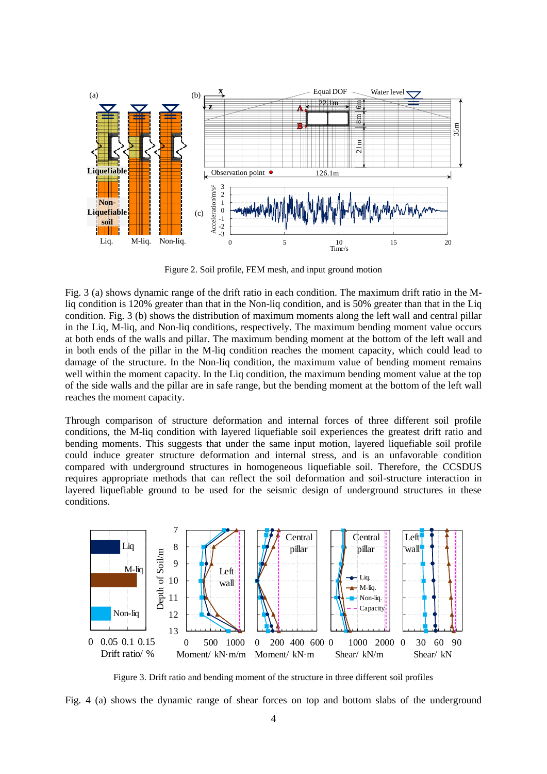

Figure 2. Soil profile, FEM mesh, and input ground motion

Fig. 3 (a) shows dynamic range of the drift ratio in each condition. The maximum drift ratio in the Mliq condition is 120% greater than that in the Non-liq condition, and is 50% greater than that in the Liq condition. Fig. 3 (b) shows the distribution of maximum moments along the left wall and central pillar in the Liq, M-liq, and Non-liq conditions, respectively. The maximum bending moment value occurs at both ends of the walls and pillar. The maximum bending moment at the bottom of the left wall and in both ends of the pillar in the M-liq condition reaches the moment capacity, which could lead to damage of the structure. In the Non-liq condition, the maximum value of bending moment remains well within the moment capacity. In the Liq condition, the maximum bending moment value at the top of the side walls and the pillar are in safe range, but the bending moment at the bottom of the left wall reaches the moment capacity.

Through comparison of structure deformation and internal forces of three different soil profile conditions, the M-liq condition with layered liquefiable soil experiences the greatest drift ratio and bending moments. This suggests that under the same input motion, layered liquefiable soil profile could induce greater structure deformation and internal stress, and is an unfavorable condition compared with underground structures in homogeneous liquefiable soil. Therefore, the CCSDUS requires appropriate methods that can reflect the soil deformation and soil-structure interaction in layered liquefiable ground to be used for the seismic design of underground structures in these conditions.



Figure 3. Drift ratio and bending moment of the structure in three different soil profiles

Fig. 4 (a) shows the dynamic range of shear forces on top and bottom slabs of the underground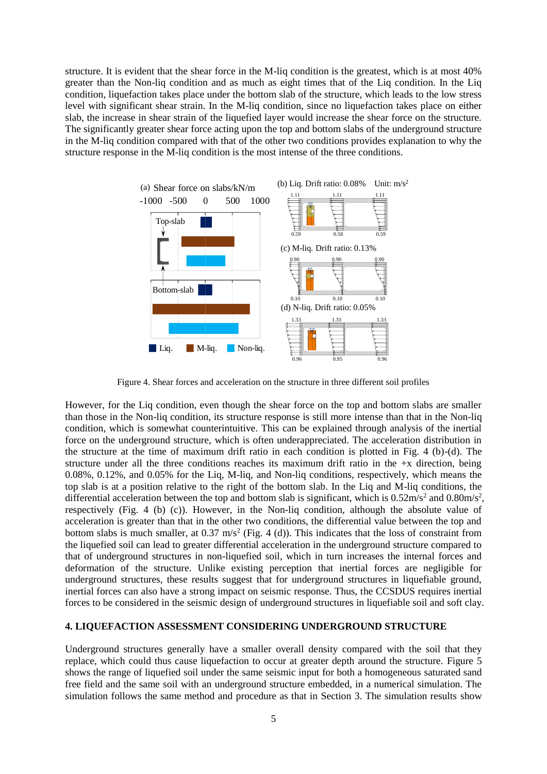structure. It is evident that the shear force in the M-liq condition is the greatest, which is at most 40% greater than the Non-liq condition and as much as eight times that of the Liq condition. In the Liq condition, liquefaction takes place under the bottom slab of the structure, which leads to the low stress level with significant shear strain. In the M-liq condition, since no liquefaction takes place on either slab, the increase in shear strain of the liquefied layer would increase the shear force on the structure. The significantly greater shear force acting upon the top and bottom slabs of the underground structure in the M-liq condition compared with that of the other two conditions provides explanation to why the structure response in the M-liq condition is the most intense of the three conditions.



Figure 4. Shear forces and acceleration on the structure in three different soil profiles

However, for the Liq condition, even though the shear force on the top and bottom slabs are smaller than those in the Non-liq condition, its structure response is still more intense than that in the Non-liq condition, which is somewhat counterintuitive. This can be explained through analysis of the inertial force on the underground structure, which is often underappreciated. The acceleration distribution in the structure at the time of maximum drift ratio in each condition is plotted in Fig. 4 (b)-(d). The structure under all the three conditions reaches its maximum drift ratio in the  $+x$  direction, being 0.08%, 0.12%, and 0.05% for the Liq, M-liq, and Non-liq conditions, respectively, which means the top slab is at a position relative to the right of the bottom slab. In the Liq and M-liq conditions, the differential acceleration between the top and bottom slab is significant, which is  $0.52 \text{m/s}^2$  and  $0.80 \text{m/s}^2$ , respectively (Fig. 4 (b) (c)). However, in the Non-liq condition, although the absolute value of acceleration is greater than that in the other two conditions, the differential value between the top and bottom slabs is much smaller, at  $0.37 \text{ m/s}^2$  (Fig. 4 (d)). This indicates that the loss of constraint from the liquefied soil can lead to greater differential acceleration in the underground structure compared to that of underground structures in non-liquefied soil, which in turn increases the internal forces and deformation of the structure. Unlike existing perception that inertial forces are negligible for underground structures, these results suggest that for underground structures in liquefiable ground, inertial forces can also have a strong impact on seismic response. Thus, the CCSDUS requires inertial forces to be considered in the seismic design of underground structures in liquefiable soil and soft clay.

#### **4. LIQUEFACTION ASSESSMENT CONSIDERING UNDERGROUND STRUCTURE**

Underground structures generally have a smaller overall density compared with the soil that they replace, which could thus cause liquefaction to occur at greater depth around the structure. Figure 5 shows the range of liquefied soil under the same seismic input for both a homogeneous saturated sand free field and the same soil with an underground structure embedded, in a numerical simulation. The simulation follows the same method and procedure as that in Section 3. The simulation results show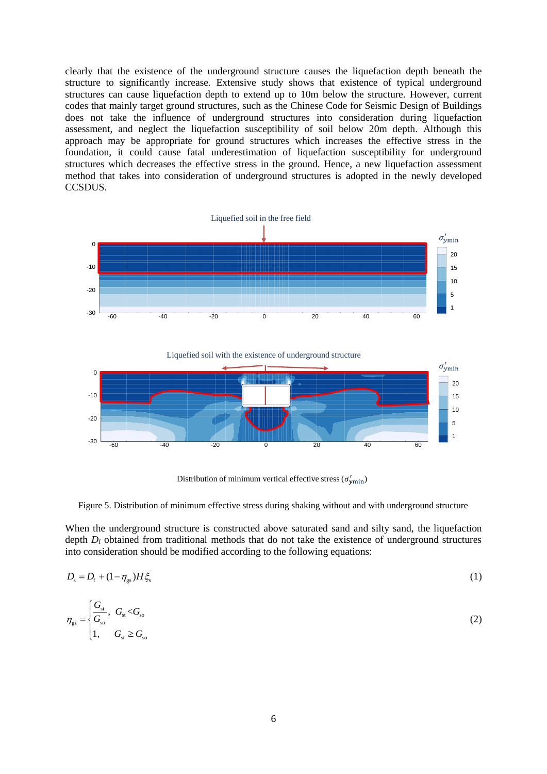clearly that the existence of the underground structure causes the liquefaction depth beneath the structure to significantly increase. Extensive study shows that existence of typical underground structures can cause liquefaction depth to extend up to 10m below the structure. However, current codes that mainly target ground structures, such as the Chinese Code for Seismic Design of Buildings does not take the influence of underground structures into consideration during liquefaction assessment, and neglect the liquefaction susceptibility of soil below 20m depth. Although this approach may be appropriate for ground structures which increases the effective stress in the foundation, it could cause fatal underestimation of liquefaction susceptibility for underground structures which decreases the effective stress in the ground. Hence, a new liquefaction assessment method that takes into consideration of underground structures is adopted in the newly developed CCSDUS.



Liquefied soil with the existence of underground structure



Distribution of minimum vertical effective stress ( $\sigma'_{\text{win}}$ )

Figure 5. Distribution of minimum effective stress during shaking without and with underground structure

When the underground structure is constructed above saturated sand and silty sand, the liquefaction depth *D*<sub>f</sub> obtained from traditional methods that do not take the existence of underground structures into consideration should be modified according to the following equations:

$$
D_{\rm s} = D_{\rm f} + (1 - \eta_{\rm gs})H\xi_{\rm s} \tag{1}
$$

$$
\eta_{gs} = \begin{cases} \frac{G_{st}}{G_{so}}, & G_{st} < G_{so} \\ 1, & G_{st} \ge G_{so} \end{cases} \tag{2}
$$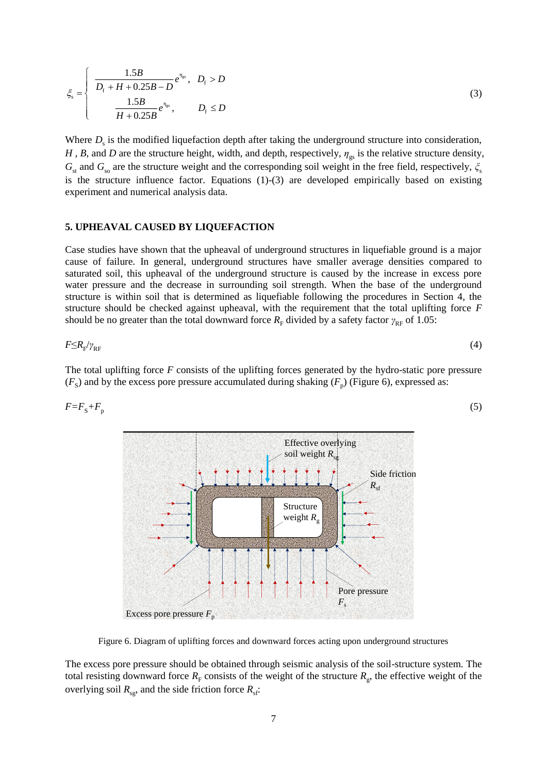$$
\xi_{s} = \begin{cases}\n\frac{1.5B}{D_{f} + H + 0.25B - D} e^{\eta_{gs}}, & D_{f} > D \\
\frac{1.5B}{H + 0.25B} e^{\eta_{gs}}, & D_{f} \le D\n\end{cases}
$$
\n(3)

Where  $D<sub>s</sub>$  is the modified liquefaction depth after taking the underground structure into consideration, *H*, *B*, and *D* are the structure height, width, and depth, respectively,  $\eta_{gs}$  is the relative structure density,  $G<sub>st</sub>$  and  $G<sub>so</sub>$  are the structure weight and the corresponding soil weight in the free field, respectively,  $\zeta<sub>s</sub>$ is the structure influence factor. Equations (1)-(3) are developed empirically based on existing experiment and numerical analysis data.

## **5. UPHEAVAL CAUSED BY LIQUEFACTION**

Case studies have shown that the upheaval of underground structures in liquefiable ground is a major cause of failure. In general, underground structures have smaller average densities compared to saturated soil, this upheaval of the underground structure is caused by the increase in excess pore water pressure and the decrease in surrounding soil strength. When the base of the underground structure is within soil that is determined as liquefiable following the procedures in Section 4, the structure should be checked against upheaval, with the requirement that the total uplifting force *F* should be no greater than the total downward force  $R_F$  divided by a safety factor  $\gamma_{RF}$  of 1.05:

$$
F \le R_{\rm F} / \gamma_{\rm RF} \tag{4}
$$

The total uplifting force *F* consists of the uplifting forces generated by the hydro-static pore pressure  $(F<sub>S</sub>)$  and by the excess pore pressure accumulated during shaking  $(F<sub>p</sub>)$  (Figure 6), expressed as:

(5)

$$
F = F_{\rm S} + F_{\rm p}
$$



Figure 6. Diagram of uplifting forces and downward forces acting upon underground structures

The excess pore pressure should be obtained through seismic analysis of the soil-structure system. The total resisting downward force  $R_F$  consists of the weight of the structure  $R_g$ , the effective weight of the overlying soil  $R_{\rm so}$ , and the side friction force  $R_{\rm sf}$ :